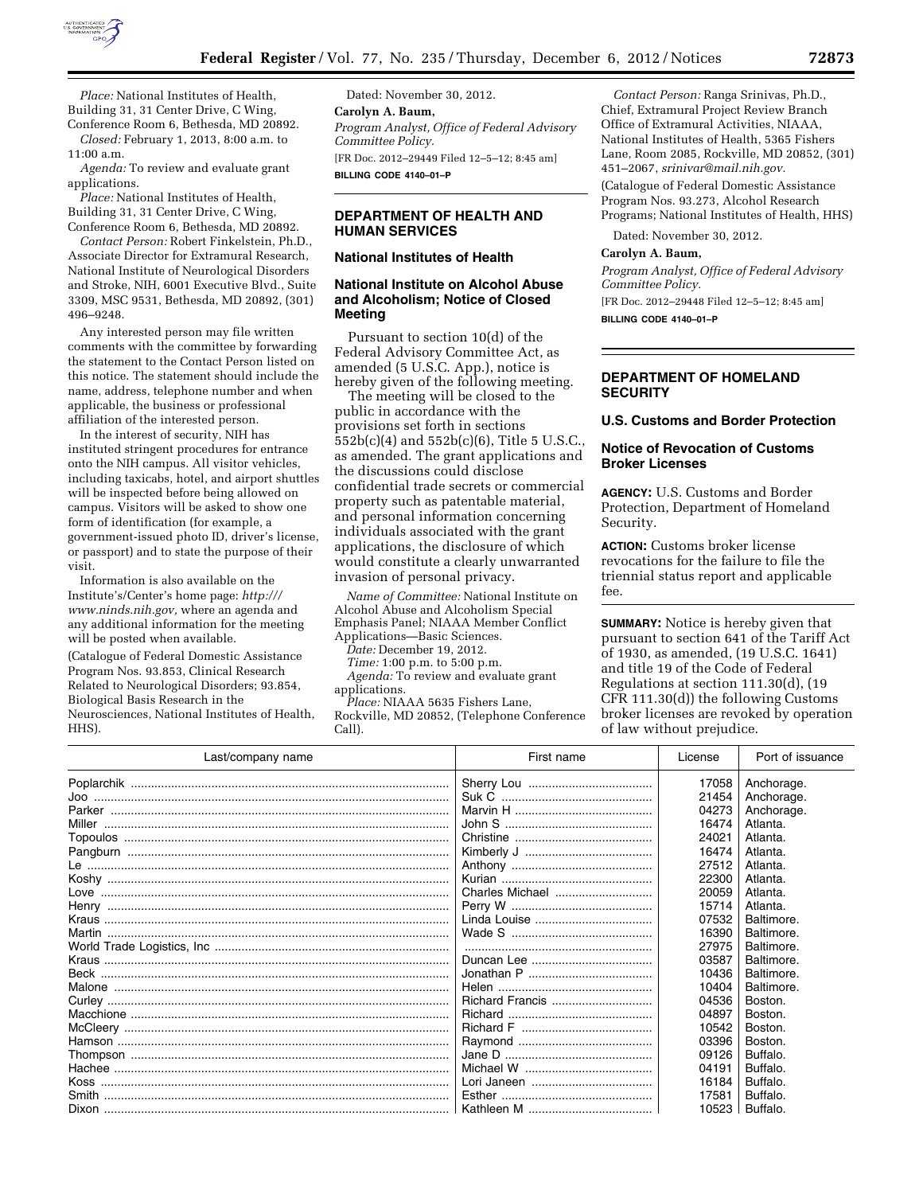

*Place:* National Institutes of Health, Building 31, 31 Center Drive, C Wing, Conference Room 6, Bethesda, MD 20892.

*Closed:* February 1, 2013, 8:00 a.m. to 11:00 a.m.

*Agenda:* To review and evaluate grant applications.

*Place:* National Institutes of Health, Building 31, 31 Center Drive, C Wing, Conference Room 6, Bethesda, MD 20892.

*Contact Person:* Robert Finkelstein, Ph.D., Associate Director for Extramural Research, National Institute of Neurological Disorders and Stroke, NIH, 6001 Executive Blvd., Suite 3309, MSC 9531, Bethesda, MD 20892, (301) 496–9248.

Any interested person may file written comments with the committee by forwarding the statement to the Contact Person listed on this notice. The statement should include the name, address, telephone number and when applicable, the business or professional affiliation of the interested person.

In the interest of security, NIH has instituted stringent procedures for entrance onto the NIH campus. All visitor vehicles, including taxicabs, hotel, and airport shuttles will be inspected before being allowed on campus. Visitors will be asked to show one form of identification (for example, a government-issued photo ID, driver's license, or passport) and to state the purpose of their visit.

Information is also available on the Institute's/Center's home page: *[http:///](http:///www.ninds.nih.gov) [www.ninds.nih.gov,](http:///www.ninds.nih.gov)* where an agenda and any additional information for the meeting will be posted when available.

(Catalogue of Federal Domestic Assistance Program Nos. 93.853, Clinical Research Related to Neurological Disorders; 93.854, Biological Basis Research in the Neurosciences, National Institutes of Health, HHS).

Dated: November 30, 2012. **Carolyn A. Baum,**  *Program Analyst, Office of Federal Advisory Committee Policy.*  [FR Doc. 2012–29449 Filed 12–5–12; 8:45 am] **BILLING CODE 4140–01–P** 

# **DEPARTMENT OF HEALTH AND HUMAN SERVICES**

### **National Institutes of Health**

# **National Institute on Alcohol Abuse and Alcoholism; Notice of Closed Meeting**

Pursuant to section 10(d) of the Federal Advisory Committee Act, as amended (5 U.S.C. App.), notice is hereby given of the following meeting.

The meeting will be closed to the public in accordance with the provisions set forth in sections 552b(c)(4) and 552b(c)(6), Title 5 U.S.C., as amended. The grant applications and the discussions could disclose confidential trade secrets or commercial property such as patentable material, and personal information concerning individuals associated with the grant applications, the disclosure of which would constitute a clearly unwarranted invasion of personal privacy.

*Name of Committee:* National Institute on Alcohol Abuse and Alcoholism Special Emphasis Panel; NIAAA Member Conflict Applications—Basic Sciences.

*Date:* December 19, 2012.

*Time:* 1:00 p.m. to 5:00 p.m.

*Agenda:* To review and evaluate grant applications.

*Place:* NIAAA 5635 Fishers Lane, Rockville, MD 20852, (Telephone Conference Call).

*Contact Person:* Ranga Srinivas, Ph.D., Chief, Extramural Project Review Branch Office of Extramural Activities, NIAAA, National Institutes of Health, 5365 Fishers Lane, Room 2085, Rockville, MD 20852, (301) 451–2067, *[srinivar@mail.nih.gov.](mailto:srinivar@mail.nih.gov)* 

(Catalogue of Federal Domestic Assistance Program Nos. 93.273, Alcohol Research Programs; National Institutes of Health, HHS)

Dated: November 30, 2012.

### **Carolyn A. Baum,**

*Program Analyst, Office of Federal Advisory Committee Policy.* 

[FR Doc. 2012–29448 Filed 12–5–12; 8:45 am] **BILLING CODE 4140–01–P** 

# **DEPARTMENT OF HOMELAND SECURITY**

**U.S. Customs and Border Protection** 

# **Notice of Revocation of Customs Broker Licenses**

**AGENCY:** U.S. Customs and Border Protection, Department of Homeland Security.

**ACTION:** Customs broker license revocations for the failure to file the triennial status report and applicable fee.

**SUMMARY:** Notice is hereby given that pursuant to section 641 of the Tariff Act of 1930, as amended, (19 U.S.C. 1641) and title 19 of the Code of Federal Regulations at section 111.30(d), (19 CFR 111.30(d)) the following Customs broker licenses are revoked by operation of law without prejudice.

| Last/company name | First name      | License | Port of issuance |
|-------------------|-----------------|---------|------------------|
|                   |                 | 17058   | Anchorage.       |
|                   |                 | 21454   | Anchorage.       |
|                   |                 | 04273   | Anchorage.       |
|                   |                 | 16474   | Atlanta.         |
|                   |                 | 24021   | Atlanta.         |
|                   |                 | 16474   | Atlanta.         |
|                   |                 | 27512   | Atlanta.         |
|                   |                 | 22300   | Atlanta.         |
|                   | Charles Michael | 20059   | Atlanta.         |
|                   |                 | 15714   | Atlanta.         |
|                   |                 | 07532   | Baltimore.       |
|                   |                 | 16390   | Baltimore.       |
|                   |                 | 27975   | Baltimore.       |
|                   |                 | 03587   | Baltimore.       |
|                   |                 | 10436   | Baltimore.       |
|                   |                 | 10404   | Baltimore.       |
|                   | Richard Francis | 04536   | Boston.          |
|                   |                 | 04897   | Boston.          |
|                   |                 | 10542   | Boston.          |
|                   |                 | 03396   | Boston.          |
|                   |                 | 09126   | Buffalo.         |
|                   |                 | 04191   | Buffalo.         |
|                   |                 | 16184   | Buffalo.         |
|                   |                 | 17581   | Buffalo.         |
|                   |                 | 10523   | Buffalo.         |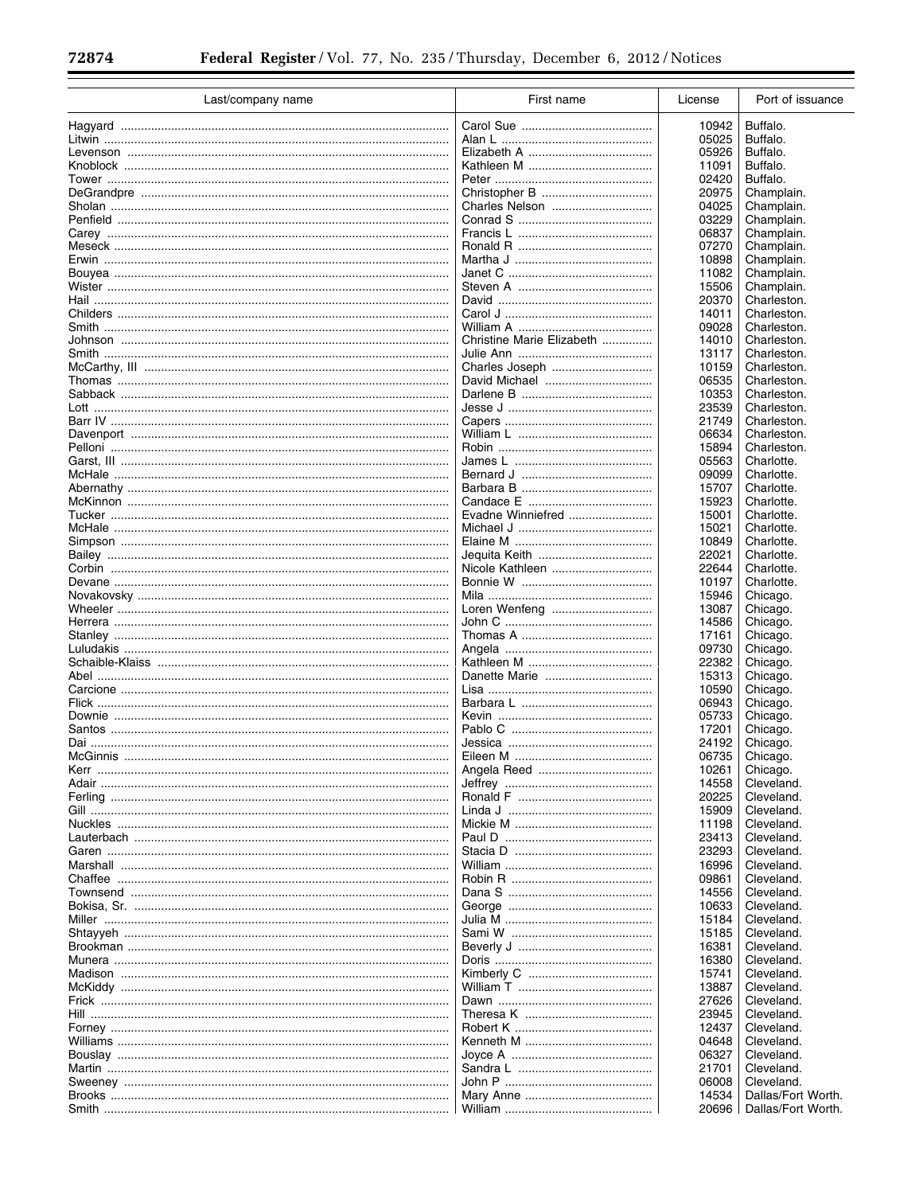$\equiv$ 

| Last/company name                         | First name                | License | Port of issuance   |
|-------------------------------------------|---------------------------|---------|--------------------|
|                                           |                           | 10942   | Buffalo.           |
|                                           |                           | 05025   | Buffalo.           |
|                                           |                           | 05926   | Buffalo.           |
|                                           |                           |         |                    |
|                                           |                           | 11091   | Buffalo.           |
|                                           |                           | 02420   | Buffalo.           |
|                                           | Christopher B             | 20975   | Champlain.         |
|                                           | Charles Nelson            | 04025   | Champlain.         |
|                                           |                           | 03229   | Champlain.         |
|                                           |                           | 06837   | Champlain.         |
|                                           |                           | 07270   | Champlain.         |
|                                           |                           | 10898   | Champlain.         |
|                                           |                           | 11082   | Champlain.         |
|                                           |                           | 15506   | Champlain.         |
|                                           |                           | 20370   | Charleston.        |
|                                           |                           | 14011   | Charleston.        |
|                                           |                           | 09028   | Charleston.        |
|                                           | Christine Marie Elizabeth | 14010   | Charleston.        |
|                                           |                           | 13117   | Charleston.        |
|                                           | Charles Joseph            | 10159   | Charleston.        |
|                                           |                           | 06535   | Charleston.        |
|                                           |                           | 10353   | Charleston.        |
|                                           |                           | 23539   | Charleston.        |
|                                           |                           | 21749   | Charleston.        |
|                                           |                           | 06634   | Charleston.        |
|                                           |                           | 15894   | Charleston.        |
|                                           |                           | 05563   | Charlotte.         |
|                                           |                           | 09099   | Charlotte.         |
|                                           |                           |         |                    |
|                                           |                           | 15707   | Charlotte.         |
|                                           |                           | 15923   | Charlotte.         |
|                                           | Evadne Winniefred         | 15001   | Charlotte.         |
|                                           |                           | 15021   | Charlotte.         |
|                                           |                           | 10849   | Charlotte.         |
|                                           | Jequita Keith             | 22021   | Charlotte.         |
|                                           |                           | 22644   | Charlotte.         |
|                                           |                           | 10197   | Charlotte.         |
|                                           |                           | 15946   | Chicago.           |
|                                           | Loren Wenfeng             | 13087   | Chicago.           |
|                                           |                           | 14586   | Chicago.           |
|                                           |                           | 17161   | Chicago.           |
|                                           |                           | 09730   | Chicago.           |
|                                           |                           | 22382   | Chicago.           |
|                                           | Danette Marie             | 15313   | Chicago.           |
|                                           |                           | 10590   | Chicago.           |
|                                           |                           | 06943   | Chicago.           |
|                                           |                           | 05733   | Chicago.           |
| Santos ………………………………………………………………………………………  |                           | 17201   | Chicago.           |
|                                           |                           | 24192   | Chicago.           |
| McGinnis                                  | Eileen M                  | 06735   | Chicago.           |
|                                           |                           | 10261   | Chicago.           |
|                                           |                           | 14558   | Cleveland.         |
|                                           |                           | 20225   | Cleveland.         |
|                                           |                           | 15909   | Cleveland.         |
|                                           |                           | 11198   | Cleveland.         |
|                                           |                           | 23413   | Cleveland.         |
|                                           |                           | 23293   | Cleveland.         |
|                                           |                           | 16996   | Cleveland.         |
|                                           |                           | 09861   | Cleveland.         |
|                                           |                           |         |                    |
|                                           |                           | 14556   | Cleveland.         |
|                                           |                           | 10633   | Cleveland.         |
|                                           |                           | 15184   | Cleveland.         |
|                                           |                           | 15185   | Cleveland.         |
|                                           |                           | 16381   | Cleveland.         |
|                                           |                           | 16380   | Cleveland.         |
|                                           |                           | 15741   | Cleveland.         |
|                                           |                           | 13887   | Cleveland.         |
| Frick …………………………………………………………………………………………… |                           | 27626   | Cleveland.         |
|                                           |                           | 23945   | Cleveland.         |
|                                           |                           | 12437   | Cleveland.         |
|                                           |                           | 04648   | Cleveland.         |
|                                           |                           | 06327   | Cleveland.         |
|                                           |                           | 21701   | Cleveland.         |
|                                           |                           | 06008   | Cleveland.         |
|                                           |                           | 14534   | Dallas/Fort Worth. |
|                                           |                           | 20696   | Dallas/Fort Worth. |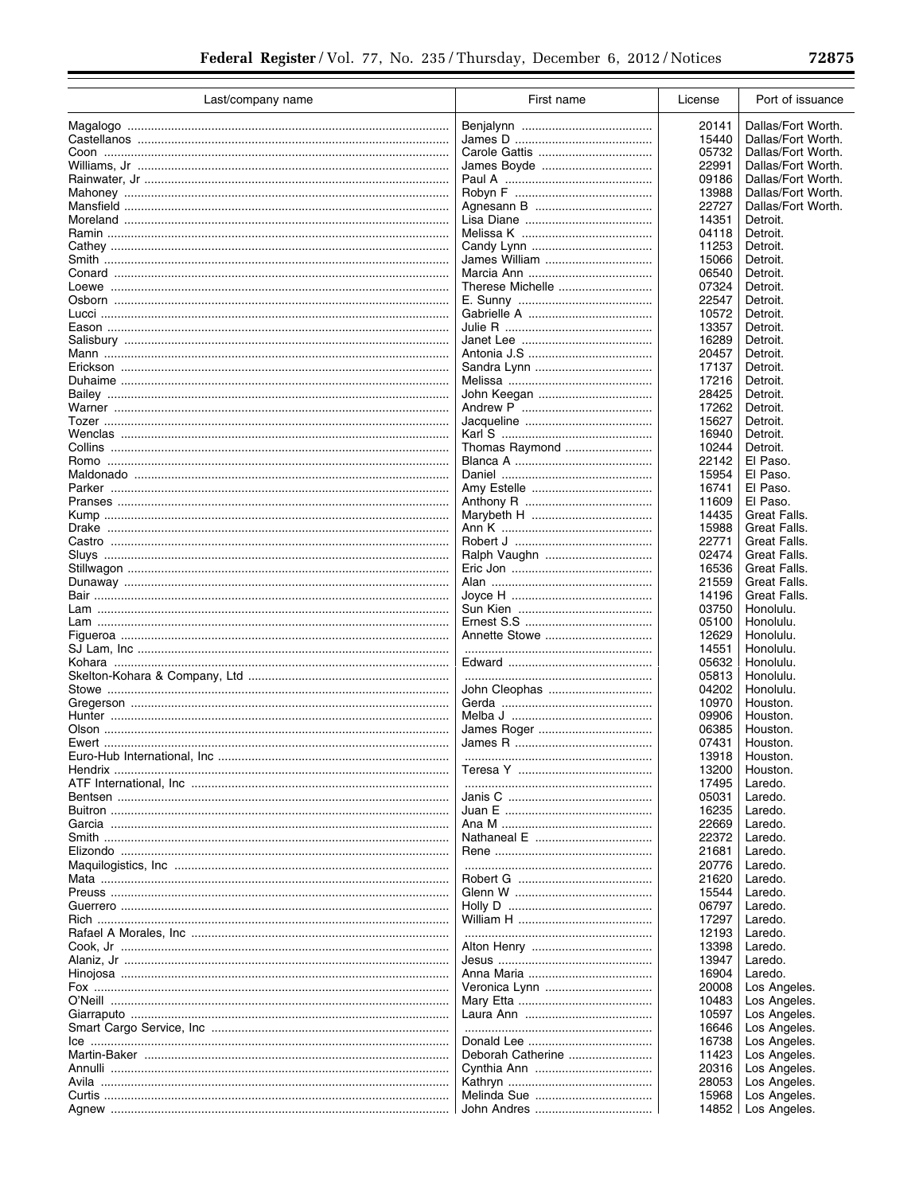Ξ

| Last/company name                         | First name        | License        | Port of issuance       |
|-------------------------------------------|-------------------|----------------|------------------------|
|                                           |                   | 20141          | Dallas/Fort Worth.     |
|                                           |                   | 15440          | Dallas/Fort Worth.     |
|                                           |                   | 05732          | Dallas/Fort Worth.     |
|                                           | James Boyde       | 22991          | Dallas/Fort Worth.     |
|                                           |                   | 09186          | Dallas/Fort Worth.     |
|                                           |                   | 13988          | Dallas/Fort Worth.     |
|                                           |                   | 22727          | Dallas/Fort Worth.     |
|                                           |                   | 14351          | Detroit.               |
|                                           |                   | 04118          | Detroit.               |
|                                           |                   | 11253          | Detroit.               |
|                                           | James William     | 15066          | Detroit.               |
|                                           |                   | 06540          | Detroit.               |
|                                           | Therese Michelle  | 07324          | Detroit.               |
|                                           |                   | 22547          | Detroit.               |
|                                           |                   | 10572          | Detroit.               |
|                                           |                   | 13357          | Detroit.               |
|                                           |                   | 16289<br>20457 | Detroit.<br>Detroit.   |
|                                           |                   | 17137          | Detroit.               |
|                                           |                   | 17216          | Detroit.               |
|                                           |                   | 28425          | Detroit.               |
|                                           |                   | 17262          | Detroit.               |
|                                           |                   | 15627          | Detroit.               |
|                                           |                   | 16940          | Detroit.               |
|                                           | Thomas Raymond    | 10244          | Detroit.               |
|                                           |                   | 22142          | El Paso.               |
|                                           |                   | 15954          | El Paso.               |
|                                           |                   | 16741          | El Paso.               |
|                                           |                   | 11609          | El Paso.               |
|                                           |                   | 14435          | Great Falls.           |
|                                           |                   | 15988          | Great Falls.           |
|                                           |                   | 22771          | Great Falls.           |
|                                           | Ralph Vaughn      | 02474          | Great Falls.           |
|                                           |                   | 16536          | Great Falls.           |
|                                           |                   | 21559          | Great Falls.           |
|                                           |                   | 14196          | Great Falls.           |
|                                           |                   | 03750          | Honolulu.              |
|                                           | Annette Stowe     | 05100<br>12629 | Honolulu.<br>Honolulu. |
|                                           |                   | 14551          | Honolulu.              |
|                                           |                   | 05632          | Honolulu.              |
|                                           |                   | 05813          | Honolulu.              |
|                                           | John Cleophas     | 04202          | Honolulu.              |
|                                           |                   | 10970          | Houston.               |
|                                           |                   | 09906          | Houston.               |
|                                           |                   | 06385          | Houston.               |
|                                           |                   | 07431          | Houston.               |
|                                           |                   | 13918          | Houston.               |
|                                           |                   | 13200          | Houston.               |
|                                           |                   | 17495          | Laredo.                |
|                                           |                   | 05031          | Laredo.                |
|                                           |                   | 16235          | Laredo.                |
| Garcia ………………………………………………………………………………………… |                   | 22669          | Laredo.                |
|                                           |                   | 22372          | Laredo.                |
|                                           |                   | 21681          | Laredo.                |
|                                           |                   | 20776          | Laredo.                |
|                                           |                   | 21620          | Laredo.                |
|                                           |                   | 15544          | Laredo.                |
|                                           |                   | 06797          | Laredo.                |
|                                           |                   | 17297<br>12193 | Laredo.<br>Laredo.     |
|                                           |                   | 13398          | Laredo.                |
|                                           |                   | 13947          | Laredo.                |
|                                           |                   | 16904          | Laredo.                |
|                                           | Veronica Lynn     | 20008          | Los Angeles.           |
| O'Neill ……………………………………………………………………………………… |                   | 10483          | Los Angeles.           |
|                                           |                   | 10597          | Los Angeles.           |
|                                           |                   | 16646          | Los Angeles.           |
|                                           |                   | 16738          | Los Angeles.           |
|                                           | Deborah Catherine | 11423          | Los Angeles.           |
|                                           |                   | 20316          | Los Angeles.           |
|                                           |                   | 28053          | Los Angeles.           |
|                                           |                   | 15968          | Los Angeles.           |
|                                           |                   | 14852          | Los Angeles.           |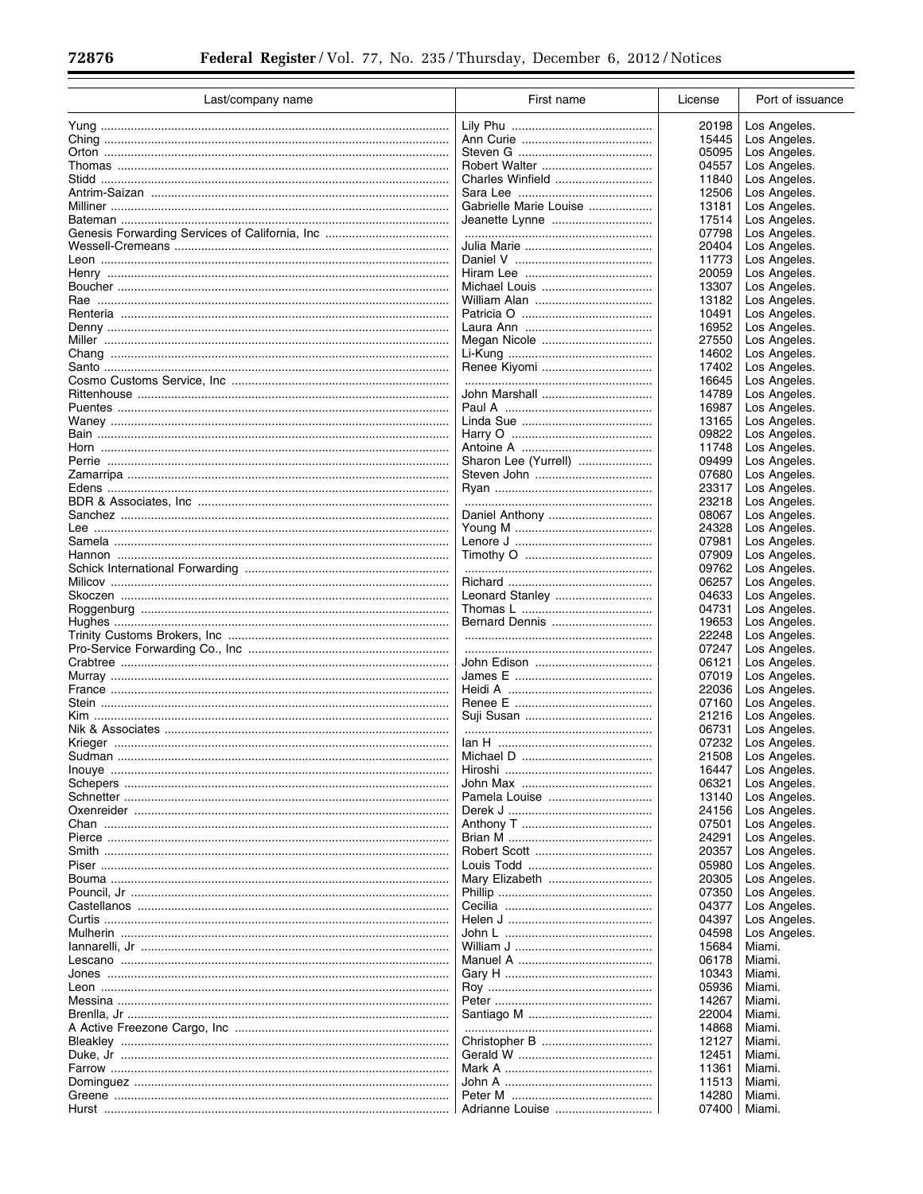$\equiv$ 

Ξ

| Last/company name                        | First name             | License | Port of issuance |
|------------------------------------------|------------------------|---------|------------------|
|                                          |                        | 20198   | Los Angeles.     |
|                                          |                        | 15445   | Los Angeles.     |
|                                          |                        | 05095   | Los Angeles.     |
|                                          |                        | 04557   | Los Angeles.     |
|                                          | Charles Winfield       | 11840   | Los Angeles.     |
|                                          |                        | 12506   | Los Angeles.     |
|                                          | Gabrielle Marie Louise | 13181   |                  |
|                                          |                        |         | Los Angeles.     |
|                                          |                        | 17514   | Los Angeles.     |
|                                          |                        | 07798   | Los Angeles.     |
|                                          |                        | 20404   | Los Angeles.     |
|                                          |                        | 11773   | Los Angeles.     |
| Henry ………………………………………………………………………………………  |                        | 20059   | Los Angeles.     |
|                                          |                        | 13307   | Los Angeles.     |
|                                          |                        | 13182   | Los Angeles.     |
|                                          |                        | 10491   | Los Angeles.     |
|                                          |                        | 16952   | Los Angeles.     |
|                                          | Megan Nicole           | 27550   | Los Angeles.     |
|                                          |                        | 14602   | Los Angeles.     |
|                                          |                        | 17402   | Los Angeles.     |
|                                          |                        | 16645   | Los Angeles.     |
|                                          | John Marshall          | 14789   | Los Angeles.     |
|                                          |                        | 16987   | Los Angeles.     |
|                                          |                        | 13165   | Los Angeles.     |
|                                          |                        | 09822   | Los Angeles.     |
|                                          |                        | 11748   | Los Angeles.     |
|                                          | Sharon Lee (Yurrell)   | 09499   | Los Angeles.     |
|                                          |                        | 07680   | Los Angeles.     |
|                                          |                        |         |                  |
|                                          |                        | 23317   | Los Angeles.     |
|                                          |                        | 23218   | Los Angeles.     |
|                                          | Daniel Anthony         | 08067   | Los Angeles.     |
|                                          |                        | 24328   | Los Angeles.     |
|                                          |                        | 07981   | Los Angeles.     |
|                                          |                        | 07909   | Los Angeles.     |
|                                          |                        | 09762   | Los Angeles.     |
|                                          |                        | 06257   | Los Angeles.     |
|                                          |                        | 04633   | Los Angeles.     |
|                                          |                        | 04731   | Los Angeles.     |
|                                          | Bernard Dennis         | 19653   | Los Angeles.     |
|                                          |                        | 22248   | Los Angeles.     |
|                                          |                        | 07247   | Los Angeles.     |
|                                          |                        | 06121   | Los Angeles.     |
|                                          |                        | 07019   | Los Angeles.     |
| France ……………………………………………………………………………………… |                        | 22036   | Los Angeles.     |
|                                          |                        | 07160   | Los Angeles.     |
|                                          |                        | 21216   | Los Angeles.     |
|                                          |                        | 06731   | Los Angeles.     |
|                                          |                        | 07232   | Los Angeles.     |
| Sudman                                   | Michael D              | 21508   | Los Angeles.     |
|                                          |                        |         | Los Angeles.     |
|                                          |                        | 16447   |                  |
|                                          |                        | 06321   | Los Angeles.     |
|                                          |                        | 13140   | Los Angeles.     |
|                                          |                        | 24156   | Los Angeles.     |
|                                          |                        | 07501   | Los Angeles.     |
|                                          |                        | 24291   | Los Angeles.     |
|                                          |                        | 20357   | Los Angeles.     |
|                                          |                        | 05980   | Los Angeles.     |
|                                          | Mary Elizabeth         | 20305   | Los Angeles.     |
|                                          |                        | 07350   | Los Angeles.     |
|                                          |                        | 04377   | Los Angeles.     |
|                                          |                        | 04397   | Los Angeles.     |
|                                          |                        | 04598   | Los Angeles.     |
|                                          |                        | 15684   | Miami.           |
|                                          |                        | 06178   | Miami.           |
|                                          |                        | 10343   | Miami.           |
|                                          |                        | 05936   | Miami.           |
|                                          |                        | 14267   | Miami.           |
|                                          |                        | 22004   | Miami.           |
|                                          |                        | 14868   | Miami.           |
|                                          |                        | 12127   | Miami.           |
|                                          |                        | 12451   | Miami.           |
|                                          |                        |         | Miami.           |
|                                          |                        | 11361   |                  |
|                                          |                        | 11513   | Miami.           |
|                                          |                        | 14280   | Miami.           |
|                                          | Adrianne Louise        | 07400   | Miami.           |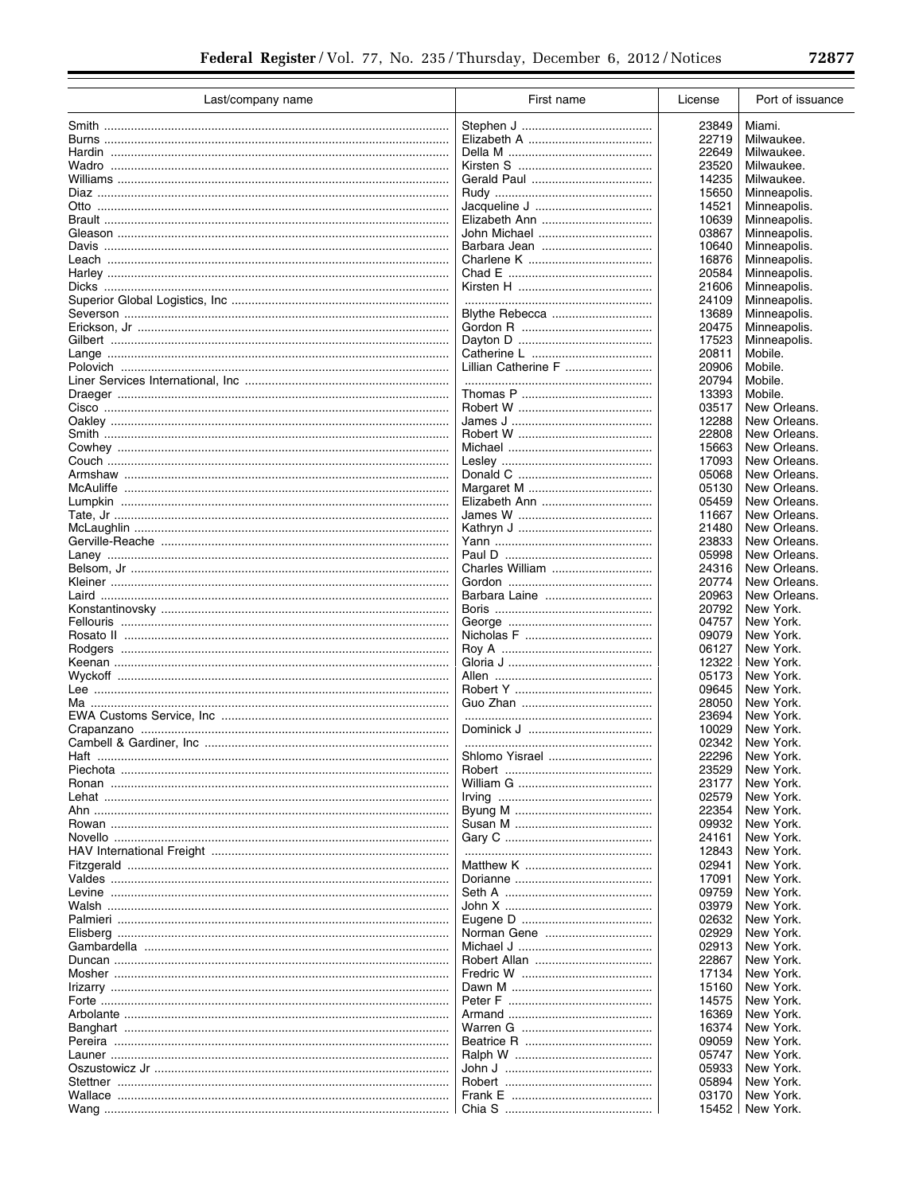÷

÷

| Last/company name                                   | First name          | License | Port of issuance |
|-----------------------------------------------------|---------------------|---------|------------------|
|                                                     |                     | 23849   | Miami.           |
|                                                     |                     | 22719   | Milwaukee.       |
|                                                     |                     | 22649   | Milwaukee.       |
|                                                     |                     | 23520   | Milwaukee.       |
|                                                     |                     | 14235   | Milwaukee.       |
|                                                     |                     | 15650   | Minneapolis.     |
|                                                     |                     |         |                  |
|                                                     |                     | 14521   | Minneapolis.     |
|                                                     |                     | 10639   | Minneapolis.     |
|                                                     | John Michael        | 03867   | Minneapolis.     |
|                                                     |                     | 10640   | Minneapolis.     |
|                                                     |                     | 16876   | Minneapolis.     |
|                                                     |                     | 20584   | Minneapolis.     |
|                                                     |                     | 21606   | Minneapolis.     |
|                                                     |                     | 24109   | Minneapolis.     |
|                                                     |                     | 13689   | Minneapolis.     |
|                                                     |                     | 20475   | Minneapolis.     |
|                                                     |                     | 17523   | Minneapolis.     |
|                                                     |                     | 20811   | Mobile.          |
|                                                     | Lillian Catherine F | 20906   | Mobile.          |
|                                                     |                     | 20794   | Mobile.          |
|                                                     |                     | 13393   | Mobile.          |
|                                                     |                     | 03517   | New Orleans.     |
|                                                     |                     | 12288   | New Orleans.     |
|                                                     |                     |         |                  |
|                                                     |                     | 22808   | New Orleans.     |
|                                                     |                     | 15663   | New Orleans.     |
|                                                     |                     | 17093   | New Orleans.     |
|                                                     |                     | 05068   | New Orleans.     |
|                                                     |                     | 05130   | New Orleans.     |
|                                                     |                     | 05459   | New Orleans.     |
|                                                     |                     | 11667   | New Orleans.     |
|                                                     |                     | 21480   | New Orleans.     |
|                                                     |                     | 23833   | New Orleans.     |
|                                                     |                     | 05998   | New Orleans.     |
|                                                     | Charles William     | 24316   | New Orleans.     |
|                                                     |                     | 20774   | New Orleans.     |
|                                                     | Barbara Laine       | 20963   | New Orleans.     |
|                                                     |                     | 20792   | New York.        |
|                                                     |                     | 04757   | New York.        |
|                                                     |                     | 09079   | New York.        |
|                                                     |                     | 06127   | New York.        |
|                                                     |                     | 12322   | New York.        |
|                                                     |                     |         |                  |
|                                                     |                     | 05173   | New York.        |
|                                                     |                     | 09645   | New York.        |
|                                                     |                     | 28050   | New York.        |
|                                                     |                     | 23694   | New York.        |
|                                                     |                     | 10029   | New York.        |
|                                                     |                     | 02342   | New York.        |
|                                                     |                     | 22296   | New York.        |
|                                                     |                     | 23529   | New York.        |
|                                                     |                     | 23177   | New York.        |
|                                                     |                     | 02579   | New York.        |
|                                                     |                     | 22354   | New York.        |
|                                                     |                     | 09932   | New York.        |
|                                                     |                     | 24161   | New York.        |
|                                                     |                     | 12843   | New York.        |
|                                                     |                     | 02941   | New York.        |
|                                                     |                     | 17091   | New York.        |
|                                                     |                     | 09759   | New York.        |
|                                                     |                     | 03979   | New York.        |
|                                                     |                     |         |                  |
|                                                     |                     | 02632   | New York.        |
|                                                     |                     | 02929   | New York.        |
|                                                     |                     | 02913   | New York.        |
|                                                     |                     | 22867   | New York.        |
|                                                     |                     | 17134   | New York.        |
| <u> Irizarry …………………………………………………………………………………………</u> |                     | 15160   | New York.        |
|                                                     |                     | 14575   | New York.        |
|                                                     |                     | 16369   | New York.        |
|                                                     |                     | 16374   | New York.        |
|                                                     |                     | 09059   | New York.        |
| Launer …………………………………………………………………………………………           |                     | 05747   | New York.        |
|                                                     |                     | 05933   | New York.        |
|                                                     |                     | 05894   | New York.        |
|                                                     |                     |         | New York.        |
|                                                     |                     | 03170   | New York.        |
|                                                     |                     | 15452   |                  |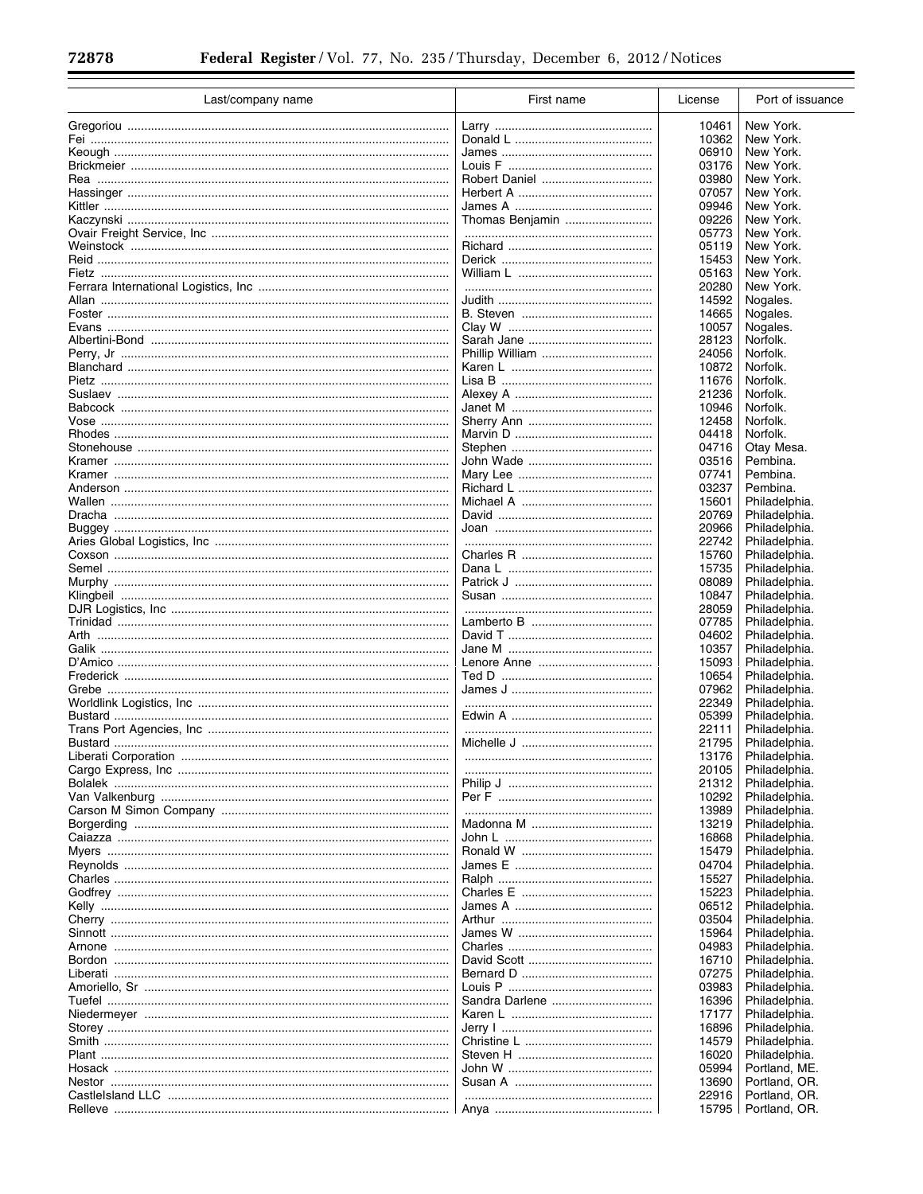$\equiv$ 

| Last/company name                         | First name      | License        | Port of issuance               |
|-------------------------------------------|-----------------|----------------|--------------------------------|
|                                           |                 | 10461          | New York.                      |
|                                           |                 | 10362          | New York.                      |
|                                           |                 | 06910          | New York.                      |
|                                           |                 | 03176          | New York.                      |
|                                           |                 | 03980          | New York.                      |
|                                           |                 | 07057          | New York.                      |
|                                           |                 | 09946          | New York.                      |
|                                           | Thomas Benjamin | 09226          | New York.                      |
|                                           |                 | 05773          | New York.                      |
|                                           |                 | 05119          | New York.                      |
|                                           |                 | 15453          | New York.                      |
|                                           |                 | 05163          | New York.                      |
|                                           |                 | 20280          | New York.                      |
|                                           |                 | 14592          | Nogales.                       |
|                                           |                 | 14665          | Nogales.                       |
|                                           |                 | 10057          | Nogales.                       |
|                                           |                 | 28123          | Norfolk.                       |
|                                           |                 | 24056          | Norfolk.                       |
|                                           |                 | 10872          | Norfolk.                       |
|                                           |                 | 11676          | Norfolk.                       |
|                                           |                 | 21236          | Norfolk.                       |
|                                           |                 | 10946          | Norfolk.                       |
|                                           |                 | 12458          | Norfolk.                       |
|                                           |                 | 04418          | Norfolk.                       |
|                                           |                 | 04716          | Otay Mesa.                     |
|                                           |                 | 03516          | Pembina.                       |
|                                           |                 | 07741          | Pembina.                       |
|                                           |                 | 03237          | Pembina.                       |
|                                           |                 | 15601          | Philadelphia.                  |
|                                           |                 | 20769          | Philadelphia.                  |
|                                           |                 | 20966          | Philadelphia.                  |
|                                           |                 | 22742          | Philadelphia.                  |
|                                           |                 | 15760          | Philadelphia.                  |
|                                           |                 | 15735          | Philadelphia.                  |
|                                           |                 | 08089          | Philadelphia.                  |
|                                           |                 | 10847          | Philadelphia.                  |
|                                           |                 | 28059          | Philadelphia.                  |
|                                           |                 | 07785          | Philadelphia.                  |
|                                           |                 | 04602          | Philadelphia.                  |
|                                           |                 | 10357          | Philadelphia.<br>Philadelphia. |
|                                           |                 | 15093<br>10654 | Philadelphia.                  |
|                                           |                 | 07962          | Philadelphia.                  |
|                                           |                 | 22349          | Philadelphia.                  |
|                                           |                 | 05399          | Philadelphia.                  |
|                                           |                 | 22111          | Philadelphia.                  |
|                                           |                 | 21795          | Philadelphia.                  |
|                                           |                 | 13176          | Philadelphia.                  |
|                                           |                 | 20105          | Philadelphia.                  |
|                                           |                 | 21312          | Philadelphia.                  |
|                                           |                 | 10292          | Philadelphia.                  |
|                                           |                 | 13989          | Philadelphia.                  |
|                                           |                 | 13219          | Philadelphia.                  |
|                                           |                 | 16868          | Philadelphia.                  |
|                                           |                 | 15479          | Philadelphia.                  |
|                                           |                 | 04704          | Philadelphia.                  |
|                                           |                 | 15527          | Philadelphia.                  |
|                                           |                 | 15223          | Philadelphia.                  |
|                                           |                 | 06512          | Philadelphia.                  |
|                                           |                 | 03504          | Philadelphia.                  |
| Sinnott ……………………………………………………………………………………… |                 | 15964          | Philadelphia.                  |
|                                           |                 | 04983          | Philadelphia.                  |
|                                           |                 | 16710          | Philadelphia.                  |
|                                           |                 | 07275          | Philadelphia.                  |
|                                           |                 | 03983          | Philadelphia.                  |
|                                           | Sandra Darlene  | 16396          | Philadelphia.                  |
|                                           |                 | 17177          | Philadelphia.                  |
|                                           |                 | 16896          | Philadelphia.                  |
|                                           |                 | 14579          | Philadelphia.                  |
|                                           |                 | 16020          | Philadelphia.                  |
|                                           |                 | 05994          | Portland, ME.                  |
|                                           |                 | 13690          | Portland, OR.                  |
|                                           |                 | 22916          | Portland, OR.                  |
|                                           |                 | 15795          | Portland, OR.                  |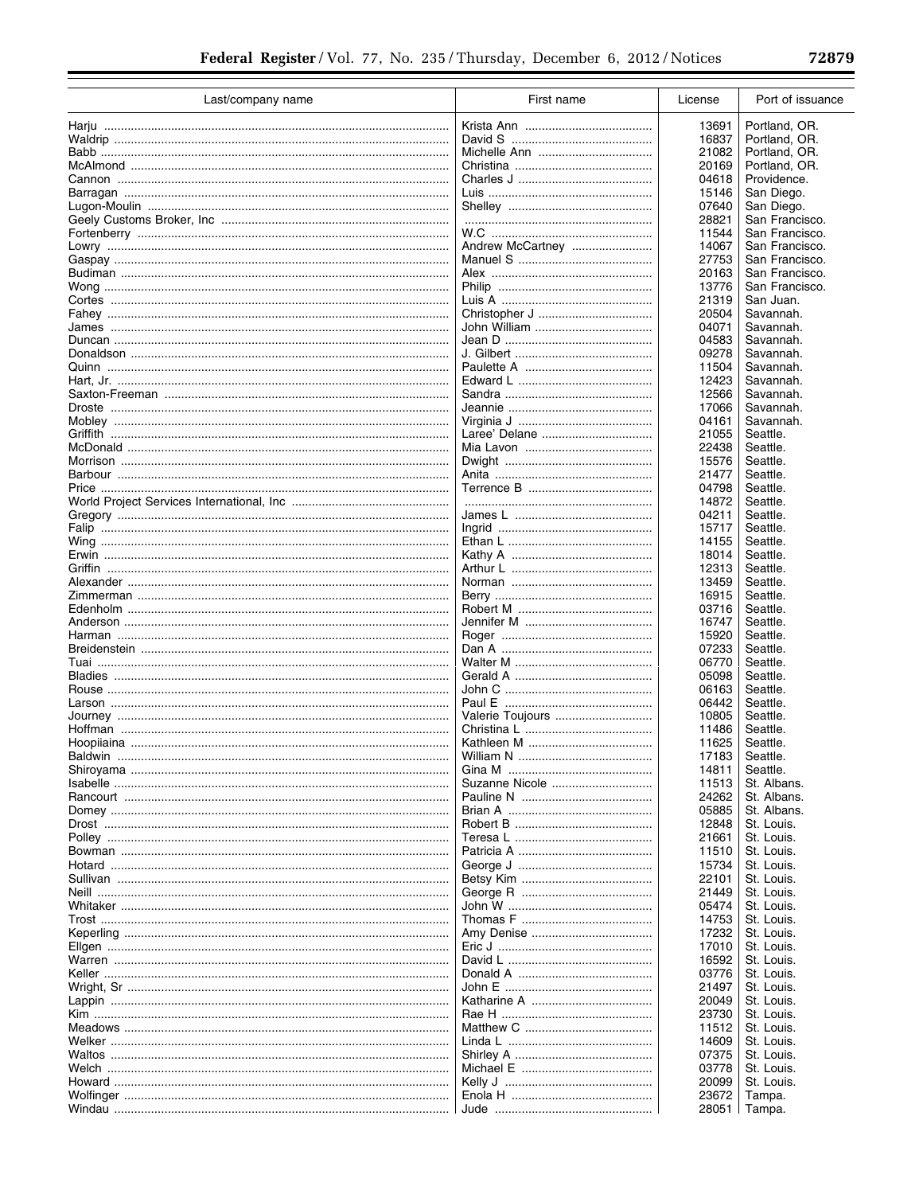÷

| Last/company name                                 | First name       | License        | Port of issuance         |
|---------------------------------------------------|------------------|----------------|--------------------------|
|                                                   |                  | 13691          | Portland, OR.            |
|                                                   |                  | 16837          | Portland, OR.            |
|                                                   |                  | 21082          | Portland, OR.            |
|                                                   |                  | 20169          | Portland, OR.            |
|                                                   |                  | 04618          | Providence.              |
|                                                   |                  | 15146          | San Diego.               |
|                                                   |                  | 07640          | San Diego.               |
|                                                   |                  | 28821          | San Francisco.           |
|                                                   |                  | 11544          | San Francisco.           |
|                                                   | Andrew McCartney | 14067          | San Francisco.           |
|                                                   |                  | 27753          | San Francisco.           |
|                                                   |                  | 20163          | San Francisco.           |
|                                                   |                  | 13776          | San Francisco.           |
|                                                   |                  | 21319          | San Juan.                |
|                                                   |                  | 20504          | Savannah.                |
| James ………………………………………………………………………………………           |                  | 04071          | Savannah.                |
|                                                   |                  | 04583          | Savannah.                |
|                                                   |                  | 09278          | Savannah.                |
|                                                   |                  | 11504          | Savannah.                |
|                                                   |                  | 12423          | Savannah.                |
|                                                   |                  | 12566          | Savannah.                |
|                                                   |                  | 17066          | Savannah.                |
|                                                   |                  | 04161          | Savannah.                |
|                                                   |                  | 21055          | Seattle.                 |
|                                                   |                  | 22438          | Seattle.<br>Seattle.     |
|                                                   |                  | 15576<br>21477 | Seattle.                 |
|                                                   |                  |                | Seattle.                 |
|                                                   |                  | 04798<br>14872 | Seattle.                 |
|                                                   |                  | 04211          | Seattle.                 |
|                                                   |                  | 15717          | Seattle.                 |
|                                                   |                  | 14155          | Seattle.                 |
|                                                   |                  | 18014          | Seattle.                 |
|                                                   |                  | 12313          | Seattle.                 |
|                                                   |                  | 13459          | Seattle.                 |
|                                                   |                  | 16915          | Seattle.                 |
|                                                   |                  | 03716          | Seattle.                 |
|                                                   |                  | 16747          | Seattle.                 |
|                                                   |                  | 15920          | Seattle.                 |
|                                                   |                  | 07233          | Seattle.                 |
|                                                   |                  | 06770          | Seattle.                 |
|                                                   |                  | 05098          | Seattle.                 |
|                                                   |                  | 06163          | Seattle.                 |
|                                                   |                  | 06442          | Seattle.                 |
|                                                   | Valerie Toujours | 10805          | Seattle.                 |
|                                                   |                  | 11486          | Seattle.                 |
|                                                   |                  | 11625          | Seattle.                 |
|                                                   |                  | 17183          | Seattle.                 |
|                                                   |                  | 14811          | Seattle.                 |
| <u>Isabelle ………………………………………………………………………………………</u> | Suzanne Nicole   | 11513          | St. Albans.              |
|                                                   |                  | 24262          | St. Albans.              |
|                                                   |                  | 05885          | St. Albans.              |
|                                                   |                  | 12848          | St. Louis.               |
|                                                   |                  | 21661<br>11510 | St. Louis.<br>St. Louis. |
|                                                   |                  | 15734          | St. Louis.               |
|                                                   |                  | 22101          | St. Louis.               |
| <u>Neill …………………………………………………………………………………………</u>   |                  | 21449          | St. Louis.               |
|                                                   |                  | 05474          | St. Louis.               |
|                                                   |                  | 14753          | St. Louis.               |
|                                                   |                  | 17232          | St. Louis.               |
|                                                   |                  | 17010          | St. Louis.               |
|                                                   |                  | 16592          | St. Louis.               |
|                                                   |                  | 03776          | St. Louis.               |
|                                                   |                  | 21497          | St. Louis.               |
|                                                   |                  | 20049          | St. Louis.               |
|                                                   |                  | 23730          | St. Louis.               |
|                                                   |                  | 11512          | St. Louis.               |
|                                                   |                  | 14609          | St. Louis.               |
|                                                   |                  | 07375          | St. Louis.               |
|                                                   |                  | 03778          | St. Louis.               |
|                                                   |                  | 20099          | St. Louis.               |
|                                                   |                  | 23672          | Tampa.                   |
|                                                   |                  |                | 28051   Tampa.           |